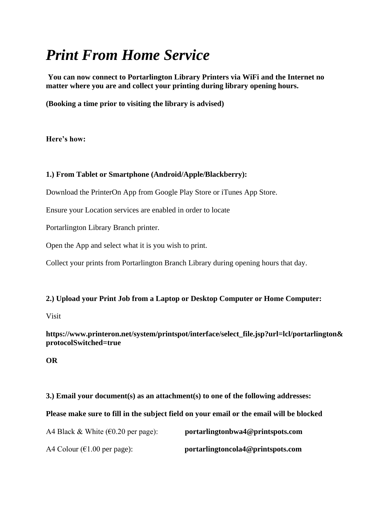## *Print From Home Service*

**You can now connect to Portarlington Library Printers via WiFi and the Internet no matter where you are and collect your printing during library opening hours.** 

**(Booking a time prior to visiting the library is advised)**

**Here's how:**

## **1.) From Tablet or Smartphone (Android/Apple/Blackberry):**

Download the PrinterOn App from Google Play Store or iTunes App Store.

Ensure your Location services are enabled in order to locate

Portarlington Library Branch printer.

Open the App and select what it is you wish to print.

Collect your prints from Portarlington Branch Library during opening hours that day.

## **2.) Upload your Print Job from a Laptop or Desktop Computer or Home Computer:**

Visit

**https://www.printeron.net/system/printspot/interface/select\_file.jsp?url=lcl/portarlington& protocolSwitched=true**

**OR**

**3.) Email your document(s) as an attachment(s) to one of the following addresses:**

**Please make sure to fill in the subject field on your email or the email will be blocked**

| A4 Black & White ( $\epsilon$ 0.20 per page): | portarlingtonbwa4@printspots.com  |
|-----------------------------------------------|-----------------------------------|
| A4 Colour ( $\epsilon$ 1.00 per page):        | portarlingtoncola4@printspots.com |